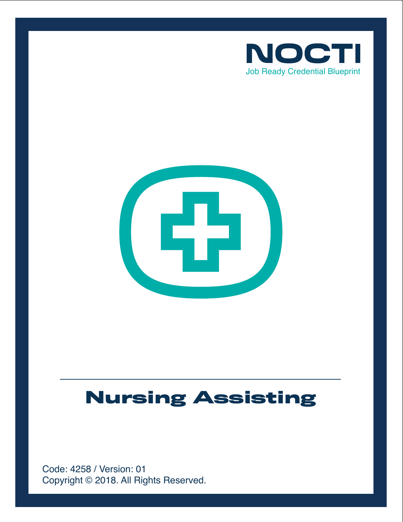



# **Nursing Assisting**

Copyright © 2018. All Rights Reserved. Code: 4258 / Version: 01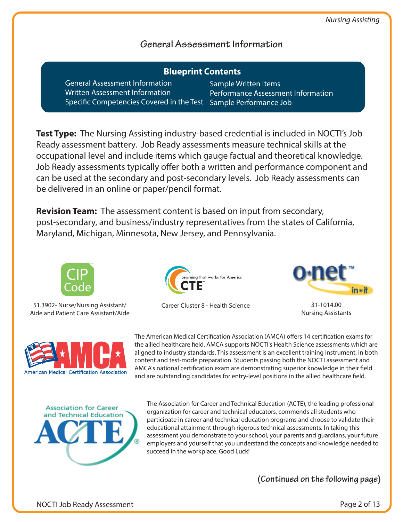# **General Assessment Information**

| <b>Blueprint Contents</b>                                        |                                    |
|------------------------------------------------------------------|------------------------------------|
| <b>General Assessment Information</b>                            | Sample Written Items               |
| <b>Written Assessment Information</b>                            | Performance Assessment Information |
| Specific Competencies Covered in the Test Sample Performance Job |                                    |

**Test Type:** The Nursing Assisting industry-based credential is included in NOCTI's Job Ready assessment battery. Job Ready assessments measure technical skills at the occupational level and include items which gauge factual and theoretical knowledge. Job Ready assessments typically offer both a written and performance component and can be used at the secondary and post-secondary levels. Job Ready assessments can be delivered in an online or paper/pencil format.

**Revision Team:** The assessment content is based on input from secondary, post-secondary, and business/industry representatives from the states of California, Maryland, Michigan, Minnesota, New Jersey, and Pennsylvania.



51.3902- Nurse/Nursing Assistant/ Aide and Patient Care Assistant/Aide







31-1014.00 Nursing Assistants



The American Medical Certification Association (AMCA) offers 14 certification exams for the allied healthcare field. AMCA supports NOCTI's Health Science assessments which are aligned to industry standards. This assessment is an excellent training instrument, in both content and test-mode preparation. Students passing both the NOCTI assessment and AMCA's national certification exam are demonstrating superior knowledge in their field and are outstanding candidates for entry-level positions in the allied healthcare field.



The Association for Career and Technical Education (ACTE), the leading professional organization for career and technical educators, commends all students who participate in career and technical education programs and choose to validate their educational attainment through rigorous technical assessments. In taking this assessment you demonstrate to your school, your parents and guardians, your future employers and yourself that you understand the concepts and knowledge needed to succeed in the workplace. Good Luck!

**(Continued on the following page)**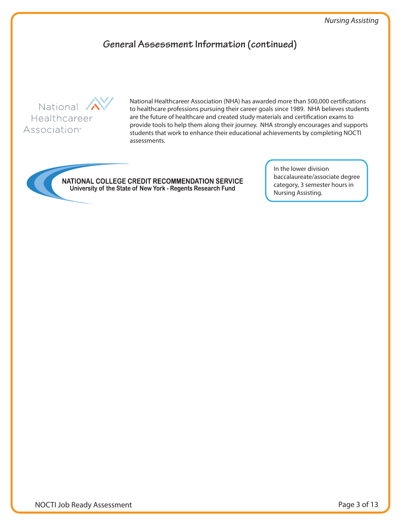# **General Assessment Information (continued)**



National Healthcareer Association (NHA) has awarded more than 500,000 certifications to healthcare professions pursuing their career goals since 1989. NHA believes students are the future of healthcare and created study materials and certification exams to provide tools to help them along their journey. NHA strongly encourages and supports students that work to enhance their educational achievements by completing NOCTI assessments.

NATIONAL COLLEGE CREDIT RECOMMENDATION SERVICE University of the State of New York - Regents Research Fund

In the lower division baccalaureate/associate degree category, 3 semester hours in Nursing Assisting.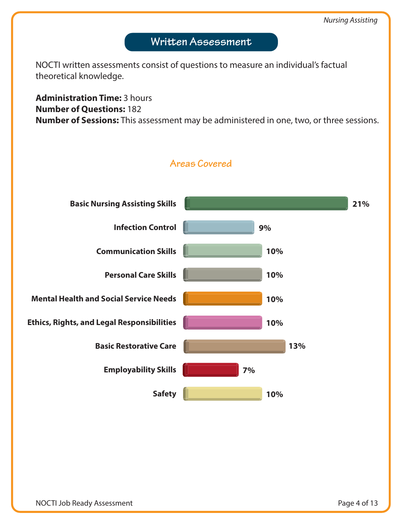# **Written Assessment**

NOCTI written assessments consist of questions to measure an individual's factual theoretical knowledge.

**Administration Time:** 3 hours **Number of Questions:** 182 **Number of Sessions:** This assessment may be administered in one, two, or three sessions.



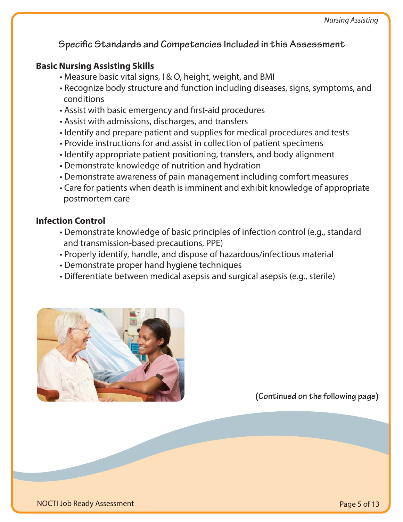# **Specific Standards and Competencies Included in this Assessment**

# **Basic Nursing Assisting Skills**

- Measure basic vital signs, I & O, height, weight, and BMI
- Recognize body structure and function including diseases, signs, symptoms, and conditions
- Assist with basic emergency and first-aid procedures
- Assist with admissions, discharges, and transfers
- Identify and prepare patient and supplies for medical procedures and tests
- Provide instructions for and assist in collection of patient specimens
- Identify appropriate patient positioning, transfers, and body alignment
- Demonstrate knowledge of nutrition and hydration
- Demonstrate awareness of pain management including comfort measures
- Care for patients when death is imminent and exhibit knowledge of appropriate postmortem care

# **Infection Control**

- Demonstrate knowledge of basic principles of infection control (e.g., standard and transmission-based precautions, PPE)
- Properly identify, handle, and dispose of hazardous/infectious material
- Demonstrate proper hand hygiene techniques
- Differentiate between medical asepsis and surgical asepsis (e.g., sterile)



**(Continued on the following page)**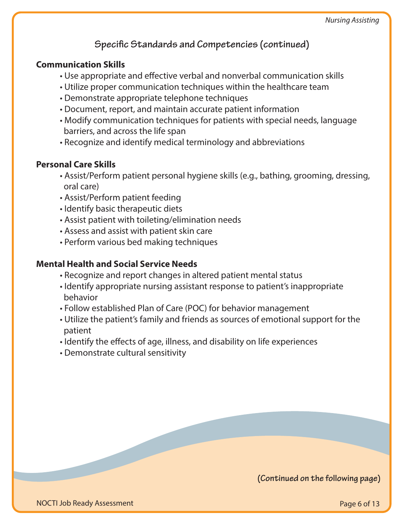# **Specific Standards and Competencies (continued)**

# **Communication Skills**

- Use appropriate and effective verbal and nonverbal communication skills
- Utilize proper communication techniques within the healthcare team
- Demonstrate appropriate telephone techniques
- Document, report, and maintain accurate patient information
- Modify communication techniques for patients with special needs, language barriers, and across the life span
- Recognize and identify medical terminology and abbreviations

# **Personal Care Skills**

- Assist/Perform patient personal hygiene skills (e.g., bathing, grooming, dressing, oral care)
- Assist/Perform patient feeding
- Identify basic therapeutic diets
- Assist patient with toileting/elimination needs
- Assess and assist with patient skin care
- Perform various bed making techniques

# **Mental Health and Social Service Needs**

- Recognize and report changes in altered patient mental status
- Identify appropriate nursing assistant response to patient's inappropriate behavior
- Follow established Plan of Care (POC) for behavior management
- Utilize the patient's family and friends as sources of emotional support for the patient
- Identify the effects of age, illness, and disability on life experiences
- Demonstrate cultural sensitivity

**(Continued on the following page)**

NOCTI Job Ready Assessment

Page 6 of 13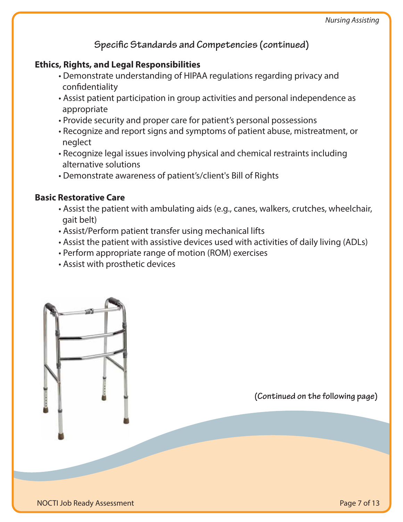# Specific Standards and Competencies (continued)

# **Ethics, Rights, and Legal Responsibilities**

- Demonstrate understanding of HIPAA regulations regarding privacy and confidentiality
- Assist patient participation in group activities and personal independence as appropriate
- Provide security and proper care for patient's personal possessions
- Recognize and report signs and symptoms of patient abuse, mistreatment, or neglect
- Recognize legal issues involving physical and chemical restraints including alternative solutions
- Demonstrate awareness of patient's/client's Bill of Rights

#### **Basic Restorative Care**

- Assist the patient with ambulating aids (e.g., canes, walkers, crutches, wheelchair, gait belt)
- Assist/Perform patient transfer using mechanical lifts
- Assist the patient with assistive devices used with activities of daily living (ADLs)
- Perform appropriate range of motion (ROM) exercises
- Assist with prosthetic devices

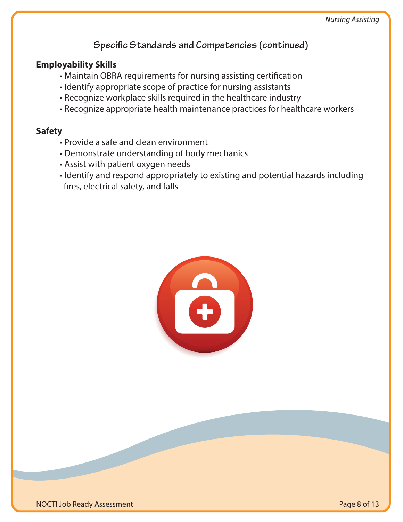# **Specific Standards and Competencies (continued)**

## **Employability Skills**

- Maintain OBRA requirements for nursing assisting certification
- Identify appropriate scope of practice for nursing assistants
- Recognize workplace skills required in the healthcare industry
- Recognize appropriate health maintenance practices for healthcare workers

#### **Safety**

- Provide a safe and clean environment
- Demonstrate understanding of body mechanics
- Assist with patient oxygen needs
- Identify and respond appropriately to existing and potential hazards including fires, electrical safety, and falls

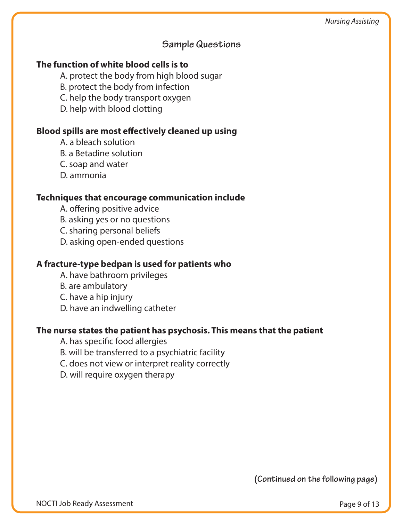## **Sample Questions**

# **The function of white blood cells is to**

A. protect the body from high blood sugar

B. protect the body from infection

C. help the body transport oxygen

D. help with blood clotting

#### **Blood spills are most effectively cleaned up using**

A. a bleach solution

B. a Betadine solution

C. soap and water

D. ammonia

#### **Techniques that encourage communication include**

A. offering positive advice

B. asking yes or no questions

C. sharing personal beliefs

D. asking open-ended questions

## **A fracture-type bedpan is used for patients who**

A. have bathroom privileges

B. are ambulatory

C. have a hip injury

D. have an indwelling catheter

#### **The nurse states the patient has psychosis. This means that the patient**

A. has specific food allergies

B. will be transferred to a psychiatric facility

C. does not view or interpret reality correctly

D. will require oxygen therapy

**(Continued on the following page)**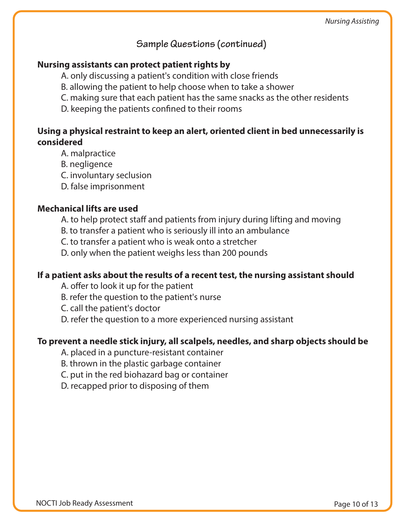**Sample Questions (continued)**

#### **Nursing assistants can protect patient rights by**

- A. only discussing a patient's condition with close friends
- B. allowing the patient to help choose when to take a shower
- C. making sure that each patient has the same snacks as the other residents
- D. keeping the patients confined to their rooms

## **Using a physical restraint to keep an alert, oriented client in bed unnecessarily is considered**

- A. malpractice
- B. negligence
- C. involuntary seclusion
- D. false imprisonment

#### **Mechanical lifts are used**

- A. to help protect staff and patients from injury during lifting and moving
- B. to transfer a patient who is seriously ill into an ambulance
- C. to transfer a patient who is weak onto a stretcher
- D. only when the patient weighs less than 200 pounds

#### **If a patient asks about the results of a recent test, the nursing assistant should**

- A. offer to look it up for the patient
- B. refer the question to the patient's nurse
- C. call the patient's doctor
- D. refer the question to a more experienced nursing assistant

#### **To prevent a needle stick injury, all scalpels, needles, and sharp objects should be**

- A. placed in a puncture-resistant container
- B. thrown in the plastic garbage container
- C. put in the red biohazard bag or container
- D. recapped prior to disposing of them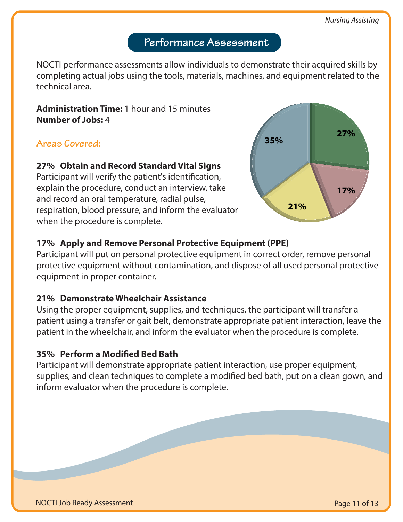# **Performance Assessment**

NOCTI performance assessments allow individuals to demonstrate their acquired skills by completing actual jobs using the tools, materials, machines, and equipment related to the technical area.

**Administration Time:** 1 hour and 15 minutes **Number of Jobs:** 4

# **Areas Covered:**

#### **27% Obtain and Record Standard Vital Signs**

Participant will verify the patient's identification, explain the procedure, conduct an interview, take and record an oral temperature, radial pulse, respiration, blood pressure, and inform the evaluator when the procedure is complete.



## **17% Apply and Remove Personal Protective Equipment (PPE)**

Participant will put on personal protective equipment in correct order, remove personal protective equipment without contamination, and dispose of all used personal protective equipment in proper container.

#### **21% Demonstrate Wheelchair Assistance**

Using the proper equipment, supplies, and techniques, the participant will transfer a patient using a transfer or gait belt, demonstrate appropriate patient interaction, leave the patient in the wheelchair, and inform the evaluator when the procedure is complete.

#### **35% Perform a Modied Bed Bath**

Participant will demonstrate appropriate patient interaction, use proper equipment, supplies, and clean techniques to complete a modified bed bath, put on a clean gown, and inform evaluator when the procedure is complete.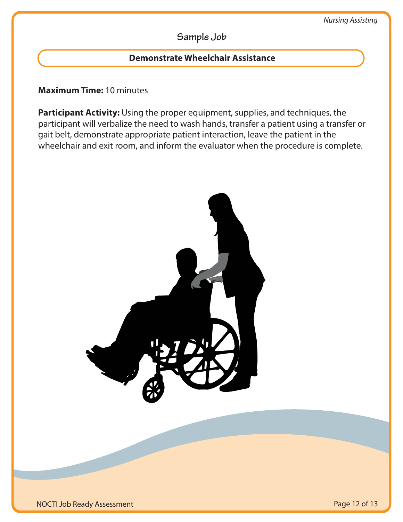# **Sample Job**

## **Demonstrate Wheelchair Assistance**

#### **Maximum Time:** 10 minutes

**Participant Activity:** Using the proper equipment, supplies, and techniques, the participant will verbalize the need to wash hands, transfer a patient using a transfer or gait belt, demonstrate appropriate patient interaction, leave the patient in the wheelchair and exit room, and inform the evaluator when the procedure is complete.